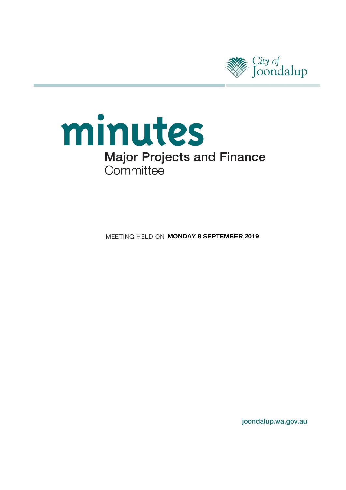

# minutes **Major Projects and Finance** Committee

**MEETING HELD ON MONDAY 9 SEPTEMBER 2019** 

joondalup.wa.gov.au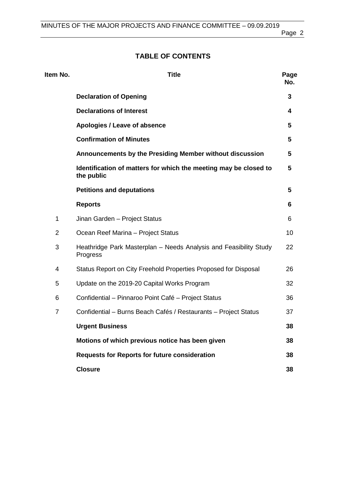Page 2

### **TABLE OF CONTENTS**

| Item No.       | <b>Title</b>                                                                   | Page<br>No. |
|----------------|--------------------------------------------------------------------------------|-------------|
|                | <b>Declaration of Opening</b>                                                  | 3           |
|                | <b>Declarations of Interest</b>                                                | 4           |
|                | Apologies / Leave of absence                                                   | 5           |
|                | <b>Confirmation of Minutes</b>                                                 | 5           |
|                | Announcements by the Presiding Member without discussion                       | 5           |
|                | Identification of matters for which the meeting may be closed to<br>the public | 5           |
|                | <b>Petitions and deputations</b>                                               | 5           |
|                | <b>Reports</b>                                                                 | 6           |
| 1              | Jinan Garden - Project Status                                                  | 6           |
| $\overline{2}$ | Ocean Reef Marina - Project Status                                             | 10          |
| 3              | Heathridge Park Masterplan - Needs Analysis and Feasibility Study<br>Progress  | 22          |
| 4              | Status Report on City Freehold Properties Proposed for Disposal                | 26          |
| 5              | Update on the 2019-20 Capital Works Program                                    | 32          |
| 6              | Confidential – Pinnaroo Point Café – Project Status                            | 36          |
| $\overline{7}$ | Confidential – Burns Beach Cafés / Restaurants – Project Status                | 37          |
|                | <b>Urgent Business</b>                                                         | 38          |
|                | Motions of which previous notice has been given                                | 38          |
|                | <b>Requests for Reports for future consideration</b>                           | 38          |
|                | <b>Closure</b>                                                                 | 38          |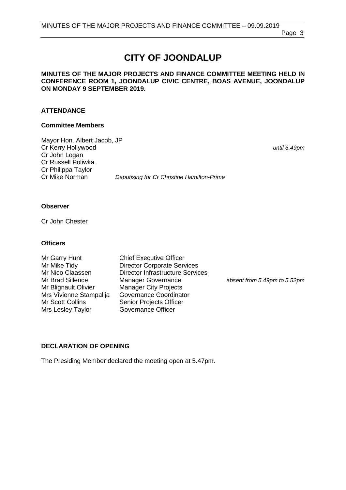Page 3

# **CITY OF JOONDALUP**

#### **MINUTES OF THE MAJOR PROJECTS AND FINANCE COMMITTEE MEETING HELD IN CONFERENCE ROOM 1, JOONDALUP CIVIC CENTRE, BOAS AVENUE, JOONDALUP ON MONDAY 9 SEPTEMBER 2019.**

#### **ATTENDANCE**

#### **Committee Members**

Mayor Hon. Albert Jacob, JP Cr Kerry Hollywood *until 6.49pm* Cr John Logan Cr Russell Poliwka Cr Philippa Taylor

**Deputising for Cr Christine Hamilton-Prime** 

#### **Observer**

Cr John Chester

#### **Officers**

Mr Scott Collins Senior Projects Officer<br>
Mrs Leslev Taylor Governance Officer Mrs Lesley Taylor

Mr Garry Hunt Chief Executive Officer<br>
Mr Mike Tidy Chiector Corporate Serv Mr Mike Tidy **Director Corporate Services**<br>Mr Nico Claassen Director Infrastructure Servic Mr Nico Claassen Director Infrastructure Services<br>
Mr Brad Sillence Manager Governance Mr Brad Sillence Manager Governance *absent from 5.49pm to 5.52pm* Manager City Projects Mrs Vivienne Stampalija Governance Coordinator

#### <span id="page-2-0"></span>**DECLARATION OF OPENING**

The Presiding Member declared the meeting open at 5.47pm.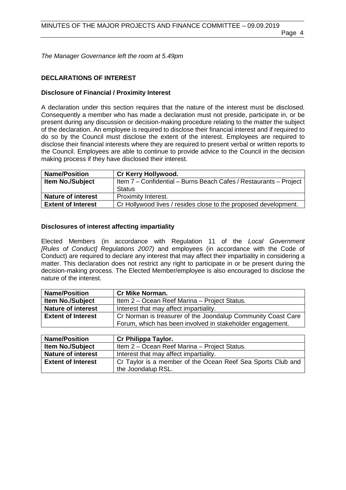*The Manager Governance left the room at 5.49pm*

#### <span id="page-3-0"></span>**DECLARATIONS OF INTEREST**

#### **Disclosure of Financial / Proximity Interest**

A declaration under this section requires that the nature of the interest must be disclosed. Consequently a member who has made a declaration must not preside, participate in, or be present during any discussion or decision-making procedure relating to the matter the subject of the declaration. An employee is required to disclose their financial interest and if required to do so by the Council must disclose the extent of the interest. Employees are required to disclose their financial interests where they are required to present verbal or written reports to the Council. Employees are able to continue to provide advice to the Council in the decision making process if they have disclosed their interest.

| <b>Name/Position</b>      | Cr Kerry Hollywood.                                               |
|---------------------------|-------------------------------------------------------------------|
| <b>Item No./Subject</b>   | Item 7 - Confidential - Burns Beach Cafes / Restaurants - Project |
|                           | Status                                                            |
| <b>Nature of interest</b> | Proximity Interest.                                               |
| <b>Extent of Interest</b> | Cr Hollywood lives / resides close to the proposed development.   |

#### **Disclosures of interest affecting impartiality**

Elected Members (in accordance with Regulation 11 of the *Local Government [Rules of Conduct] Regulations 2007)* and employees (in accordance with the Code of Conduct) are required to declare any interest that may affect their impartiality in considering a matter. This declaration does not restrict any right to participate in or be present during the decision-making process. The Elected Member/employee is also encouraged to disclose the nature of the interest.

| <b>Name/Position</b>      | <b>Cr Mike Norman.</b>                                       |
|---------------------------|--------------------------------------------------------------|
| <b>Item No./Subject</b>   | Item 2 - Ocean Reef Marina - Project Status.                 |
| <b>Nature of interest</b> | Interest that may affect impartiality.                       |
| <b>Extent of Interest</b> | Cr Norman is treasurer of the Joondalup Community Coast Care |
|                           | Forum, which has been involved in stakeholder engagement.    |

| <b>Name/Position</b>      | Cr Philippa Taylor.                                         |  |
|---------------------------|-------------------------------------------------------------|--|
| <b>Item No./Subject</b>   | Item 2 – Ocean Reef Marina – Project Status.                |  |
| <b>Nature of interest</b> | Interest that may affect impartiality.                      |  |
| <b>Extent of Interest</b> | Cr Taylor is a member of the Ocean Reef Sea Sports Club and |  |
|                           | the Joondalup RSL.                                          |  |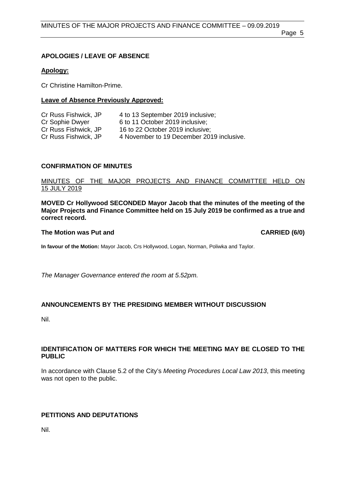Page 5

### <span id="page-4-0"></span>**APOLOGIES / LEAVE OF ABSENCE**

### **Apology:**

Cr Christine Hamilton-Prime.

### **Leave of Absence Previously Approved:**

| Cr Russ Fishwick, JP | 4 to 13 September 2019 inclusive;         |
|----------------------|-------------------------------------------|
| Cr Sophie Dwyer      | 6 to 11 October 2019 inclusive:           |
| Cr Russ Fishwick, JP | 16 to 22 October 2019 inclusive;          |
| Cr Russ Fishwick, JP | 4 November to 19 December 2019 inclusive. |

### <span id="page-4-1"></span>**CONFIRMATION OF MINUTES**

### MINUTES OF THE MAJOR PROJECTS AND FINANCE COMMITTEE HELD ON 15 JULY 2019

**MOVED Cr Hollywood SECONDED Mayor Jacob that the minutes of the meeting of the Major Projects and Finance Committee held on 15 July 2019 be confirmed as a true and correct record.**

#### **The Motion was Put and CARRIED (6/0)**

**In favour of the Motion:** Mayor Jacob, Crs Hollywood, Logan, Norman, Poliwka and Taylor.

*The Manager Governance entered the room at 5.52pm.*

### <span id="page-4-2"></span>**ANNOUNCEMENTS BY THE PRESIDING MEMBER WITHOUT DISCUSSION**

Nil.

#### <span id="page-4-3"></span>**IDENTIFICATION OF MATTERS FOR WHICH THE MEETING MAY BE CLOSED TO THE PUBLIC**

In accordance with Clause 5.2 of the City's *Meeting Procedures Local Law 2013*, this meeting was not open to the public.

### <span id="page-4-4"></span>**PETITIONS AND DEPUTATIONS**

Nil.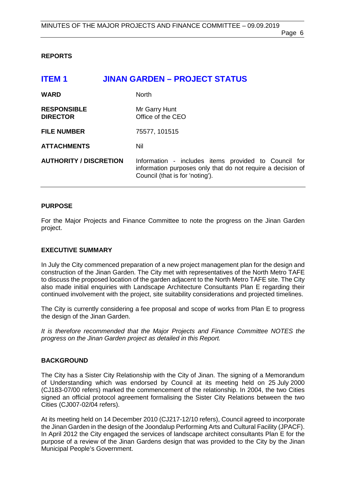#### <span id="page-5-0"></span>**REPORTS**

<span id="page-5-1"></span>

| <b>ITEM1</b>                          | <b>JINAN GARDEN - PROJECT STATUS</b>                                                                                                                   |
|---------------------------------------|--------------------------------------------------------------------------------------------------------------------------------------------------------|
| <b>WARD</b>                           | <b>North</b>                                                                                                                                           |
| <b>RESPONSIBLE</b><br><b>DIRECTOR</b> | Mr Garry Hunt<br>Office of the CEO                                                                                                                     |
| <b>FILE NUMBER</b>                    | 75577, 101515                                                                                                                                          |
| <b>ATTACHMENTS</b>                    | Nil                                                                                                                                                    |
| <b>AUTHORITY / DISCRETION</b>         | Information - includes items provided to Council for<br>information purposes only that do not require a decision of<br>Council (that is for 'noting'). |

#### **PURPOSE**

For the Major Projects and Finance Committee to note the progress on the Jinan Garden project.

#### **EXECUTIVE SUMMARY**

In July the City commenced preparation of a new project management plan for the design and construction of the Jinan Garden. The City met with representatives of the North Metro TAFE to discuss the proposed location of the garden adjacent to the North Metro TAFE site. The City also made initial enquiries with Landscape Architecture Consultants Plan E regarding their continued involvement with the project, site suitability considerations and projected timelines.

The City is currently considering a fee proposal and scope of works from Plan E to progress the design of the Jinan Garden.

*It is therefore recommended that the Major Projects and Finance Committee NOTES the progress on the Jinan Garden project as detailed in this Report.*

#### **BACKGROUND**

The City has a Sister City Relationship with the City of Jinan. The signing of a Memorandum of Understanding which was endorsed by Council at its meeting held on 25 July 2000 (CJ183-07/00 refers) marked the commencement of the relationship. In 2004, the two Cities signed an official protocol agreement formalising the Sister City Relations between the two Cities (CJ007-02/04 refers).

At its meeting held on 14 December 2010 (CJ217-12/10 refers), Council agreed to incorporate the Jinan Garden in the design of the Joondalup Performing Arts and Cultural Facility (JPACF). In April 2012 the City engaged the services of landscape architect consultants Plan E for the purpose of a review of the Jinan Gardens design that was provided to the City by the Jinan Municipal People's Government.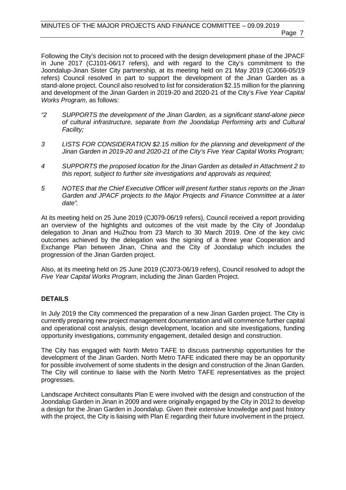Following the City's decision not to proceed with the design development phase of the JPACF in June 2017 (CJ101-06/17 refers), and with regard to the City's commitment to the Joondalup-Jinan Sister City partnership, at its meeting held on 21 May 2019 (CJ066-05/19 refers) Council resolved in part to support the development of the Jinan Garden as a stand-alone project. Council also resolved to list for consideration \$2.15 million for the planning and development of the Jinan Garden in 2019-20 and 2020-21 of the City's *Five Year Capital Works Program*, as follows:

- *"2 SUPPORTS the development of the Jinan Garden, as a significant stand-alone piece of cultural infrastructure, separate from the Joondalup Performing arts and Cultural Facility;*
- *3 LISTS FOR CONSIDERATION \$2.15 million for the planning and development of the Jinan Garden in 2019-20 and 2020-21 of the City's Five Year Capital Works Program;*
- *4 SUPPORTS the proposed location for the Jinan Garden as detailed in Attachment 2 to this report, subject to further site investigations and approvals as required;*
- *5 NOTES that the Chief Executive Officer will present further status reports on the Jinan Garden and JPACF projects to the Major Projects and Finance Committee at a later date".*

At its meeting held on 25 June 2019 (CJ079-06/19 refers), Council received a report providing an overview of the highlights and outcomes of the visit made by the City of Joondalup delegation to Jinan and HuZhou from 23 March to 30 March 2019. One of the key civic outcomes achieved by the delegation was the signing of a three year Cooperation and Exchange Plan between Jinan, China and the City of Joondalup which includes the progression of the Jinan Garden project.

Also, at its meeting held on 25 June 2019 (CJ073-06/19 refers), Council resolved to adopt the *Five Year Capital Works Program*, including the Jinan Garden Project.

### **DETAILS**

In July 2019 the City commenced the preparation of a new Jinan Garden project. The City is currently preparing new project management documentation and will commence further capital and operational cost analysis, design development, location and site investigations, funding opportunity investigations, community engagement, detailed design and construction.

The City has engaged with North Metro TAFE to discuss partnership opportunities for the development of the Jinan Garden. North Metro TAFE indicated there may be an opportunity for possible involvement of some students in the design and construction of the Jinan Garden. The City will continue to liaise with the North Metro TAFE representatives as the project progresses.

Landscape Architect consultants Plan E were involved with the design and construction of the Joondalup Garden in Jinan in 2009 and were originally engaged by the City in 2012 to develop a design for the Jinan Garden in Joondalup. Given their extensive knowledge and past history with the project, the City is liaising with Plan E regarding their future involvement in the project.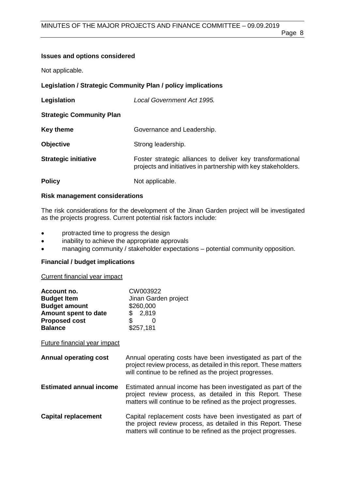### **Issues and options considered**

Not applicable.

## **Legislation / Strategic Community Plan / policy implications**

| Legislation                     | Local Government Act 1995.                                                                                                   |
|---------------------------------|------------------------------------------------------------------------------------------------------------------------------|
| <b>Strategic Community Plan</b> |                                                                                                                              |
| Key theme                       | Governance and Leadership.                                                                                                   |
| <b>Objective</b>                | Strong leadership.                                                                                                           |
| <b>Strategic initiative</b>     | Foster strategic alliances to deliver key transformational<br>projects and initiatives in partnership with key stakeholders. |
| <b>Policy</b>                   | Not applicable.                                                                                                              |

### **Risk management considerations**

The risk considerations for the development of the Jinan Garden project will be investigated as the projects progress. Current potential risk factors include:

- protracted time to progress the design
- inability to achieve the appropriate approvals
- managing community / stakeholder expectations potential community opposition.

### **Financial / budget implications**

Current financial year impact

| Account no.<br><b>Budget Item</b><br><b>Budget amount</b><br>Amount spent to date<br><b>Proposed cost</b><br><b>Balance</b> | CW003922<br>Jinan Garden project<br>\$260,000<br>2,819<br>\$<br>\$<br>0<br>\$257,181                                                                                                           |
|-----------------------------------------------------------------------------------------------------------------------------|------------------------------------------------------------------------------------------------------------------------------------------------------------------------------------------------|
| Future financial year impact                                                                                                |                                                                                                                                                                                                |
| <b>Annual operating cost</b>                                                                                                | Annual operating costs have been investigated as part of the<br>project review process, as detailed in this report. These matters<br>will continue to be refined as the project progresses.    |
| <b>Estimated annual income</b>                                                                                              | Estimated annual income has been investigated as part of the<br>project review process, as detailed in this Report. These<br>matters will continue to be refined as the project progresses.    |
| <b>Capital replacement</b>                                                                                                  | Capital replacement costs have been investigated as part of<br>the project review process, as detailed in this Report. These<br>matters will continue to be refined as the project progresses. |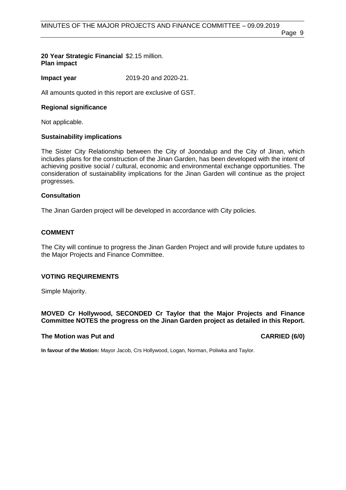Page 9

#### **20 Year Strategic Financial**  \$2.15 million. **Plan impact**

**Impact year** 2019-20 and 2020-21.

All amounts quoted in this report are exclusive of GST.

### **Regional significance**

Not applicable.

### **Sustainability implications**

The Sister City Relationship between the City of Joondalup and the City of Jinan, which includes plans for the construction of the Jinan Garden, has been developed with the intent of achieving positive social / cultural, economic and environmental exchange opportunities. The consideration of sustainability implications for the Jinan Garden will continue as the project progresses.

#### **Consultation**

The Jinan Garden project will be developed in accordance with City policies.

#### **COMMENT**

The City will continue to progress the Jinan Garden Project and will provide future updates to the Major Projects and Finance Committee.

#### **VOTING REQUIREMENTS**

Simple Majority.

#### **MOVED Cr Hollywood, SECONDED Cr Taylor that the Major Projects and Finance Committee NOTES the progress on the Jinan Garden project as detailed in this Report.**

#### **The Motion was Put and CARRIED (6/0)**

**In favour of the Motion:** Mayor Jacob, Crs Hollywood, Logan, Norman, Poliwka and Taylor.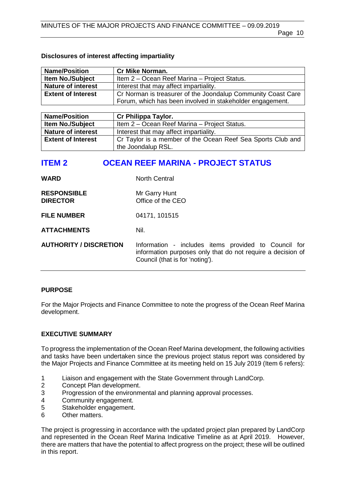#### **Disclosures of interest affecting impartiality**

| <b>Name/Position</b>                                                    | <b>Cr Mike Norman.</b>                                       |
|-------------------------------------------------------------------------|--------------------------------------------------------------|
| <b>Item No./Subject</b><br>Item 2 - Ocean Reef Marina - Project Status. |                                                              |
| <b>Nature of interest</b>                                               | Interest that may affect impartiality.                       |
| <b>Extent of Interest</b>                                               | Cr Norman is treasurer of the Joondalup Community Coast Care |
|                                                                         | Forum, which has been involved in stakeholder engagement.    |

| <b>Name/Position</b>                                                                     | Cr Philippa Taylor.                          |
|------------------------------------------------------------------------------------------|----------------------------------------------|
| <b>Item No./Subject</b>                                                                  | Item 2 – Ocean Reef Marina – Project Status. |
| <b>Nature of interest</b>                                                                | Interest that may affect impartiality.       |
| Cr Taylor is a member of the Ocean Reef Sea Sports Club and<br><b>Extent of Interest</b> |                                              |
|                                                                                          | the Joondalup RSL.                           |

### <span id="page-9-0"></span>**ITEM 2 OCEAN REEF MARINA - PROJECT STATUS**

| <b>WARD</b>                           | <b>North Central</b>                                                                                                                                   |
|---------------------------------------|--------------------------------------------------------------------------------------------------------------------------------------------------------|
| <b>RESPONSIBLE</b><br><b>DIRECTOR</b> | Mr Garry Hunt<br>Office of the CEO                                                                                                                     |
| <b>FILE NUMBER</b>                    | 04171, 101515                                                                                                                                          |
| <b>ATTACHMENTS</b>                    | Nil.                                                                                                                                                   |
| <b>AUTHORITY / DISCRETION</b>         | Information - includes items provided to Council for<br>information purposes only that do not require a decision of<br>Council (that is for 'noting'). |

#### **PURPOSE**

For the Major Projects and Finance Committee to note the progress of the Ocean Reef Marina development.

#### **EXECUTIVE SUMMARY**

To progress the implementation of the Ocean Reef Marina development, the following activities and tasks have been undertaken since the previous project status report was considered by the Major Projects and Finance Committee at its meeting held on 15 July 2019 (Item 6 refers):

- 1 Liaison and engagement with the State Government through LandCorp.
- 2 Concept Plan development.
- 3 Progression of the environmental and planning approval processes.
- 4 Community engagement.<br>5 Stakeholder engagement.
- 5 Stakeholder engagement.<br>6 Other matters.
- Other matters.

The project is progressing in accordance with the updated project plan prepared by LandCorp and represented in the Ocean Reef Marina Indicative Timeline as at April 2019. However, there are matters that have the potential to affect progress on the project; these will be outlined in this report.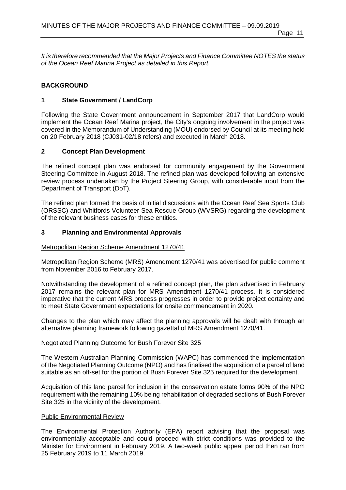*It is therefore recommended that the Major Projects and Finance Committee NOTES the status of the Ocean Reef Marina Project as detailed in this Report.*

#### **BACKGROUND**

#### **1 State Government / LandCorp**

Following the State Government announcement in September 2017 that LandCorp would implement the Ocean Reef Marina project, the City's ongoing involvement in the project was covered in the Memorandum of Understanding (MOU) endorsed by Council at its meeting held on 20 February 2018 (CJ031-02/18 refers) and executed in March 2018.

#### **2 Concept Plan Development**

The refined concept plan was endorsed for community engagement by the Government Steering Committee in August 2018. The refined plan was developed following an extensive review process undertaken by the Project Steering Group, with considerable input from the Department of Transport (DoT).

The refined plan formed the basis of initial discussions with the Ocean Reef Sea Sports Club (ORSSC) and Whitfords Volunteer Sea Rescue Group (WVSRG) regarding the development of the relevant business cases for these entities.

#### **3 Planning and Environmental Approvals**

#### Metropolitan Region Scheme Amendment 1270/41

Metropolitan Region Scheme (MRS) Amendment 1270/41 was advertised for public comment from November 2016 to February 2017.

Notwithstanding the development of a refined concept plan, the plan advertised in February 2017 remains the relevant plan for MRS Amendment 1270/41 process. It is considered imperative that the current MRS process progresses in order to provide project certainty and to meet State Government expectations for onsite commencement in 2020.

Changes to the plan which may affect the planning approvals will be dealt with through an alternative planning framework following gazettal of MRS Amendment 1270/41.

#### Negotiated Planning Outcome for Bush Forever Site 325

The Western Australian Planning Commission (WAPC) has commenced the implementation of the Negotiated Planning Outcome (NPO) and has finalised the acquisition of a parcel of land suitable as an off-set for the portion of Bush Forever Site 325 required for the development.

Acquisition of this land parcel for inclusion in the conservation estate forms 90% of the NPO requirement with the remaining 10% being rehabilitation of degraded sections of Bush Forever Site 325 in the vicinity of the development.

#### Public Environmental Review

The Environmental Protection Authority (EPA) report advising that the proposal was environmentally acceptable and could proceed with strict conditions was provided to the Minister for Environment in February 2019. A two-week public appeal period then ran from 25 February 2019 to 11 March 2019.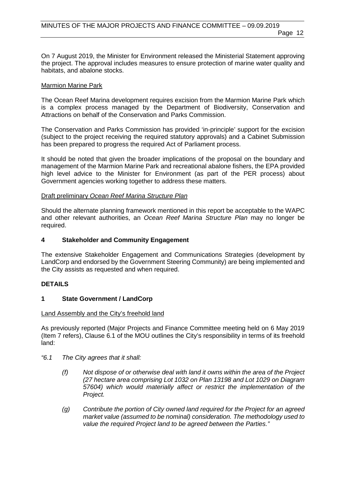On 7 August 2019, the Minister for Environment released the Ministerial Statement approving the project. The approval includes measures to ensure protection of marine water quality and habitats, and abalone stocks.

#### Marmion Marine Park

The Ocean Reef Marina development requires excision from the Marmion Marine Park which is a complex process managed by the Department of Biodiversity, Conservation and Attractions on behalf of the Conservation and Parks Commission.

The Conservation and Parks Commission has provided 'in-principle' support for the excision (subject to the project receiving the required statutory approvals) and a Cabinet Submission has been prepared to progress the required Act of Parliament process.

It should be noted that given the broader implications of the proposal on the boundary and management of the Marmion Marine Park and recreational abalone fishers, the EPA provided high level advice to the Minister for Environment (as part of the PER process) about Government agencies working together to address these matters.

#### Draft preliminary *Ocean Reef Marina Structure Plan*

Should the alternate planning framework mentioned in this report be acceptable to the WAPC and other relevant authorities, an *Ocean Reef Marina Structure Plan* may no longer be required.

#### **4 Stakeholder and Community Engagement**

The extensive Stakeholder Engagement and Communications Strategies (development by LandCorp and endorsed by the Government Steering Community) are being implemented and the City assists as requested and when required.

#### **DETAILS**

#### **1 State Government / LandCorp**

#### Land Assembly and the City's freehold land

As previously reported (Major Projects and Finance Committee meeting held on 6 May 2019 (Item 7 refers), Clause 6.1 of the MOU outlines the City's responsibility in terms of its freehold land:

- *"6.1 The City agrees that it shall:*
	- *(f) Not dispose of or otherwise deal with land it owns within the area of the Project (27 hectare area comprising Lot 1032 on Plan 13198 and Lot 1029 on Diagram 57604) which would materially affect or restrict the implementation of the Project.*
	- *(g) Contribute the portion of City owned land required for the Project for an agreed market value (assumed to be nominal) consideration. The methodology used to value the required Project land to be agreed between the Parties."*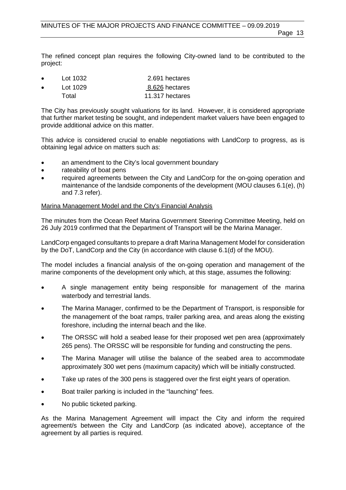The refined concept plan requires the following City-owned land to be contributed to the project:

- Lot 1032 2.691 hectares Lot 1029 8.626 hectares
- Total 11.317 hectares

The City has previously sought valuations for its land. However, it is considered appropriate that further market testing be sought, and independent market valuers have been engaged to provide additional advice on this matter.

This advice is considered crucial to enable negotiations with LandCorp to progress, as is obtaining legal advice on matters such as:

- an amendment to the City's local government boundary
- rateability of boat pens
- required agreements between the City and LandCorp for the on-going operation and maintenance of the landside components of the development (MOU clauses 6.1(e), (h) and 7.3 refer).

#### Marina Management Model and the City's Financial Analysis

The minutes from the Ocean Reef Marina Government Steering Committee Meeting, held on 26 July 2019 confirmed that the Department of Transport will be the Marina Manager.

LandCorp engaged consultants to prepare a draft Marina Management Model for consideration by the DoT, LandCorp and the City (in accordance with clause 6.1(d) of the MOU).

The model includes a financial analysis of the on-going operation and management of the marine components of the development only which, at this stage, assumes the following:

- A single management entity being responsible for management of the marina waterbody and terrestrial lands.
- The Marina Manager, confirmed to be the Department of Transport, is responsible for the management of the boat ramps, trailer parking area, and areas along the existing foreshore, including the internal beach and the like.
- The ORSSC will hold a seabed lease for their proposed wet pen area (approximately 265 pens). The ORSSC will be responsible for funding and constructing the pens.
- The Marina Manager will utilise the balance of the seabed area to accommodate approximately 300 wet pens (maximum capacity) which will be initially constructed.
- Take up rates of the 300 pens is staggered over the first eight years of operation.
- Boat trailer parking is included in the "launching" fees.
- No public ticketed parking.

As the Marina Management Agreement will impact the City and inform the required agreement/s between the City and LandCorp (as indicated above), acceptance of the agreement by all parties is required.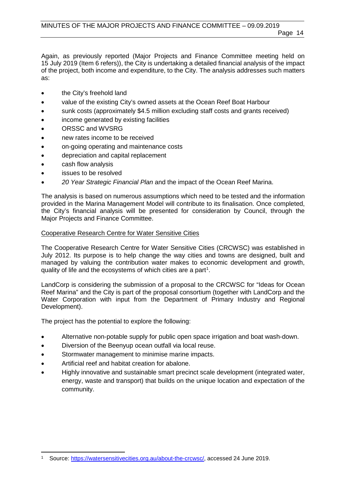Again, as previously reported (Major Projects and Finance Committee meeting held on 15 July 2019 (Item 6 refers)), the City is undertaking a detailed financial analysis of the impact of the project, both income and expenditure, to the City. The analysis addresses such matters as:

- the City's freehold land
- value of the existing City's owned assets at the Ocean Reef Boat Harbour
- sunk costs (approximately \$4.5 million excluding staff costs and grants received)
- income generated by existing facilities
- ORSSC and WVSRG
- new rates income to be received
- on-going operating and maintenance costs
- depreciation and capital replacement
- cash flow analysis
- issues to be resolved
- *20 Year Strategic Financial Plan* and the impact of the Ocean Reef Marina.

The analysis is based on numerous assumptions which need to be tested and the information provided in the Marina Management Model will contribute to its finalisation. Once completed, the City's financial analysis will be presented for consideration by Council, through the Major Projects and Finance Committee.

#### Cooperative Research Centre for Water Sensitive Cities

The Cooperative Research Centre for Water Sensitive Cities (CRCWSC) was established in July 2012. Its purpose is to help change the way cities and towns are designed, built and managed by valuing the contribution water makes to economic development and growth, quality of life and the ecosystems of which cities are a part<sup>[1](#page-13-0)</sup>.

LandCorp is considering the submission of a proposal to the CRCWSC for "Ideas for Ocean Reef Marina" and the City is part of the proposal consortium (together with LandCorp and the Water Corporation with input from the Department of Primary Industry and Regional Development).

The project has the potential to explore the following:

- Alternative non-potable supply for public open space irrigation and boat wash-down.
- Diversion of the Beenyup ocean outfall via local reuse.
- Stormwater management to minimise marine impacts.
- Artificial reef and habitat creation for abalone.
- Highly innovative and sustainable smart precinct scale development (integrated water, energy, waste and transport) that builds on the unique location and expectation of the community.

<span id="page-13-0"></span> <sup>1</sup> Source: [https://watersensitivecities.org.au/about-the-crcwsc/,](https://watersensitivecities.org.au/about-the-crcwsc/) accessed 24 June 2019.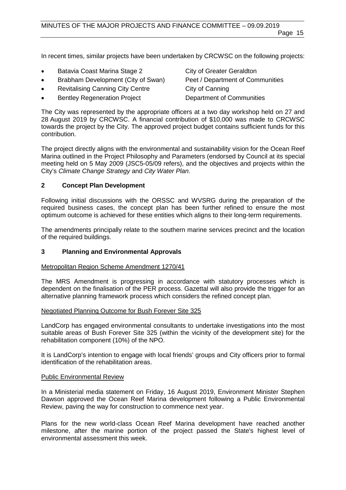In recent times, similar projects have been undertaken by CRCWSC on the following projects:

- Batavia Coast Marina Stage 2 City of Greater Geraldton
- Brabham Development (City of Swan) Peet / Department of Communities
- Revitalising Canning City Centre City of Canning
- **Bentley Regeneration Project Department of Communities**

The City was represented by the appropriate officers at a two day workshop held on 27 and 28 August 2019 by CRCWSC. A financial contribution of \$10,000 was made to CRCWSC towards the project by the City. The approved project budget contains sufficient funds for this contribution.

The project directly aligns with the environmental and sustainability vision for the Ocean Reef Marina outlined in the Project Philosophy and Parameters (endorsed by Council at its special meeting held on 5 May 2009 (JSC5-05/09 refers), and the objectives and projects within the City's *Climate Change Strategy* and *City Water Plan*.

#### **2 Concept Plan Development**

Following initial discussions with the ORSSC and WVSRG during the preparation of the required business cases, the concept plan has been further refined to ensure the most optimum outcome is achieved for these entities which aligns to their long-term requirements.

The amendments principally relate to the southern marine services precinct and the location of the required buildings.

#### **3 Planning and Environmental Approvals**

Metropolitan Region Scheme Amendment 1270/41

The MRS Amendment is progressing in accordance with statutory processes which is dependent on the finalisation of the PER process. Gazettal will also provide the trigger for an alternative planning framework process which considers the refined concept plan.

#### Negotiated Planning Outcome for Bush Forever Site 325

LandCorp has engaged environmental consultants to undertake investigations into the most suitable areas of Bush Forever Site 325 (within the vicinity of the development site) for the rehabilitation component (10%) of the NPO.

It is LandCorp's intention to engage with local friends' groups and City officers prior to formal identification of the rehabilitation areas.

#### Public Environmental Review

In a Ministerial media statement on Friday, 16 August 2019, Environment Minister Stephen Dawson approved the Ocean Reef Marina development following a Public Environmental Review, paving the way for construction to commence next year.

Plans for the new world-class Ocean Reef Marina development have reached another milestone, after the marine portion of the project passed the State's highest level of environmental assessment this week.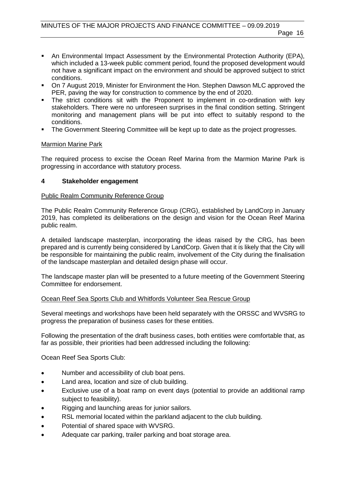- An Environmental Impact Assessment by the Environmental Protection Authority (EPA), which included a 13-week public comment period, found the proposed development would not have a significant impact on the environment and should be approved subject to strict conditions.
- On 7 August 2019, Minister for Environment the Hon. Stephen Dawson MLC approved the PER, paving the way for construction to commence by the end of 2020.
- The strict conditions sit with the Proponent to implement in co-ordination with key stakeholders. There were no unforeseen surprises in the final condition setting. Stringent monitoring and management plans will be put into effect to suitably respond to the conditions.
- The Government Steering Committee will be kept up to date as the project progresses.

#### Marmion Marine Park

The required process to excise the Ocean Reef Marina from the Marmion Marine Park is progressing in accordance with statutory process.

#### **4 Stakeholder engagement**

#### Public Realm Community Reference Group

The Public Realm Community Reference Group (CRG), established by LandCorp in January 2019, has completed its deliberations on the design and vision for the Ocean Reef Marina public realm.

A detailed landscape masterplan, incorporating the ideas raised by the CRG, has been prepared and is currently being considered by LandCorp. Given that it is likely that the City will be responsible for maintaining the public realm, involvement of the City during the finalisation of the landscape masterplan and detailed design phase will occur.

The landscape master plan will be presented to a future meeting of the Government Steering Committee for endorsement.

#### Ocean Reef Sea Sports Club and Whitfords Volunteer Sea Rescue Group

Several meetings and workshops have been held separately with the ORSSC and WVSRG to progress the preparation of business cases for these entities.

Following the presentation of the draft business cases, both entities were comfortable that, as far as possible, their priorities had been addressed including the following:

Ocean Reef Sea Sports Club:

- Number and accessibility of club boat pens.
- Land area, location and size of club building.
- Exclusive use of a boat ramp on event days (potential to provide an additional ramp subject to feasibility).
- Rigging and launching areas for junior sailors.
- RSL memorial located within the parkland adjacent to the club building.
- Potential of shared space with WVSRG.
- Adequate car parking, trailer parking and boat storage area.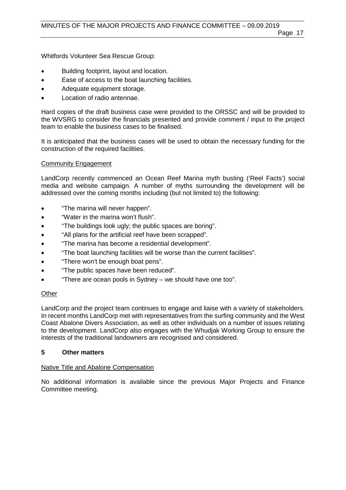Whitfords Volunteer Sea Rescue Group:

- Building footprint, layout and location.
- Ease of access to the boat launching facilities.
- Adequate equipment storage.
- Location of radio antennae.

Hard copies of the draft business case were provided to the ORSSC and will be provided to the WVSRG to consider the financials presented and provide comment / input to the project team to enable the business cases to be finalised.

It is anticipated that the business cases will be used to obtain the necessary funding for the construction of the required facilities.

### Community Engagement

LandCorp recently commenced an Ocean Reef Marina myth busting ('Reel Facts') social media and website campaign. A number of myths surrounding the development will be addressed over the coming months including (but not limited to) the following:

- "The marina will never happen".
- "Water in the marina won't flush".
- "The buildings look ugly; the public spaces are boring".
- "All plans for the artificial reef have been scrapped".
- "The marina has become a residential development".
- "The boat launching facilities will be worse than the current facilities".
- "There won't be enough boat pens".
- "The public spaces have been reduced".
- "There are ocean pools in Sydney we should have one too".

### **Other**

LandCorp and the project team continues to engage and liaise with a variety of stakeholders. In recent months LandCorp met with representatives from the surfing community and the West Coast Abalone Divers Association, as well as other individuals on a number of issues relating to the development. LandCorp also engages with the Whudjak Working Group to ensure the interests of the traditional landowners are recognised and considered.

### **5 Other matters**

### Native Title and Abalone Compensation

No additional information is available since the previous Major Projects and Finance Committee meeting.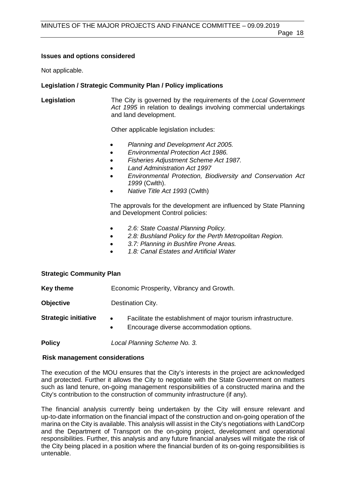### **Issues and options considered**

Not applicable.

### **Legislation / Strategic Community Plan / Policy implications**

**Legislation** The City is governed by the requirements of the *Local Government Act 1995* in relation to dealings involving commercial undertakings and land development.

Other applicable legislation includes:

- *Planning and Development Act 2005.*
- *Environmental Protection Act 1986.*
- *Fisheries Adjustment Scheme Act 1987.*
- *Land Administration Act 1997*
- *Environmental Protection, Biodiversity and Conservation Act 1999* (Cwlth).
- *Native Title Act 1993* (Cwlth)

The approvals for the development are influenced by State Planning and Development Control policies:

- *2.6: State Coastal Planning Policy.*
- *2.8: Bushland Policy for the Perth Metropolitan Region.*
- *3.7: Planning in Bushfire Prone Areas.*
- *1.8: Canal Estates and Artificial Water*

### **Strategic Community Plan**

**Key theme** Economic Prosperity, Vibrancy and Growth. **Objective Destination City. Strategic initiative •** Facilitate the establishment of major tourism infrastructure. • Encourage diverse accommodation options. **Policy** *Local Planning Scheme No. 3.*

### **Risk management considerations**

The execution of the MOU ensures that the City's interests in the project are acknowledged and protected. Further it allows the City to negotiate with the State Government on matters such as land tenure, on-going management responsibilities of a constructed marina and the City's contribution to the construction of community infrastructure (if any).

The financial analysis currently being undertaken by the City will ensure relevant and up-to-date information on the financial impact of the construction and on-going operation of the marina on the City is available. This analysis will assist in the City's negotiations with LandCorp and the Department of Transport on the on-going project, development and operational responsibilities. Further, this analysis and any future financial analyses will mitigate the risk of the City being placed in a position where the financial burden of its on-going responsibilities is untenable.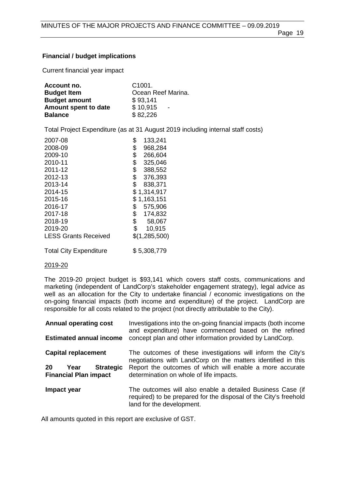#### **Financial / budget implications**

Current financial year impact

| Account no.          | C <sub>1001</sub>                    |
|----------------------|--------------------------------------|
| <b>Budget Item</b>   | Ocean Reef Marina.                   |
| <b>Budget amount</b> | \$93,141                             |
| Amount spent to date | \$10,915<br>$\overline{\phantom{a}}$ |
| <b>Balance</b>       | \$82,226                             |

Total Project Expenditure (as at 31 August 2019 including internal staff costs)

| 2007-08                       | \$<br>133,241 |
|-------------------------------|---------------|
| 2008-09                       | \$<br>968,284 |
| 2009-10                       | \$<br>266,604 |
| 2010-11                       | \$<br>325,046 |
| 2011-12                       | \$<br>388,552 |
| 2012-13                       | \$<br>376,393 |
| 2013-14                       | \$<br>838,371 |
| 2014-15                       | \$1,314,917   |
| 2015-16                       | \$1,163,151   |
| 2016-17                       | \$<br>575,906 |
| 2017-18                       | \$<br>174,832 |
| 2018-19                       | \$<br>58,067  |
| 2019-20                       | \$<br>10,915  |
| <b>LESS Grants Received</b>   | \$(1,285,500) |
| <b>Total City Expenditure</b> | \$5,308,779   |

#### 2019-20

The 2019-20 project budget is \$93,141 which covers staff costs, communications and marketing (independent of LandCorp's stakeholder engagement strategy), legal advice as well as an allocation for the City to undertake financial / economic investigations on the on-going financial impacts (both income and expenditure) of the project. LandCorp are responsible for all costs related to the project (not directly attributable to the City).

| <b>Annual operating cost</b><br><b>Estimated annual income</b> | Investigations into the on-going financial impacts (both income<br>and expenditure) have commenced based on the refined<br>concept plan and other information provided by LandCorp. |
|----------------------------------------------------------------|-------------------------------------------------------------------------------------------------------------------------------------------------------------------------------------|
| <b>Capital replacement</b>                                     | The outcomes of these investigations will inform the City's<br>negotiations with LandCorp on the matters identified in this                                                         |
| 20<br><b>Strategic</b><br>Year<br><b>Financial Plan impact</b> | Report the outcomes of which will enable a more accurate<br>determination on whole of life impacts.                                                                                 |
| Impact year                                                    | The outcomes will also enable a detailed Business Case (if<br>required) to be prepared for the disposal of the City's freehold<br>land for the development.                         |

All amounts quoted in this report are exclusive of GST.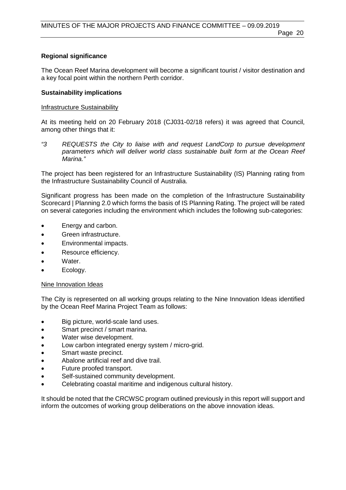#### **Regional significance**

The Ocean Reef Marina development will become a significant tourist / visitor destination and a key focal point within the northern Perth corridor.

#### **Sustainability implications**

#### Infrastructure Sustainability

At its meeting held on 20 February 2018 (CJ031-02/18 refers) it was agreed that Council, among other things that it:

*"3 REQUESTS the City to liaise with and request LandCorp to pursue development parameters which will deliver world class sustainable built form at the Ocean Reef Marina."*

The project has been registered for an Infrastructure Sustainability (IS) Planning rating from the Infrastructure Sustainability Council of Australia.

Significant progress has been made on the completion of the Infrastructure Sustainability Scorecard | Planning 2.0 which forms the basis of IS Planning Rating. The project will be rated on several categories including the environment which includes the following sub-categories:

- Energy and carbon.
- Green infrastructure.
- Environmental impacts.
- Resource efficiency.
- Water.
- Ecology.

#### Nine Innovation Ideas

The City is represented on all working groups relating to the Nine Innovation Ideas identified by the Ocean Reef Marina Project Team as follows:

- Big picture, world-scale land uses.
- Smart precinct / smart marina.
- Water wise development.
- Low carbon integrated energy system / micro-grid.
- Smart waste precinct.
- Abalone artificial reef and dive trail.
- Future proofed transport.
- Self-sustained community development.
- Celebrating coastal maritime and indigenous cultural history.

It should be noted that the CRCWSC program outlined previously in this report will support and inform the outcomes of working group deliberations on the above innovation ideas.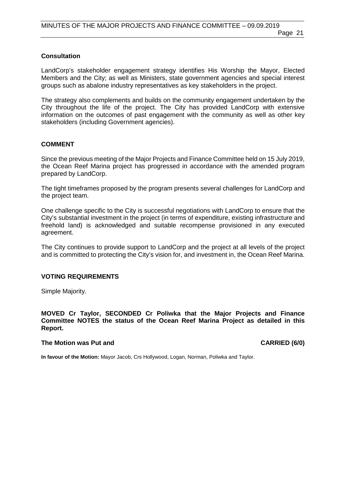#### **Consultation**

LandCorp's stakeholder engagement strategy identifies His Worship the Mayor, Elected Members and the City; as well as Ministers, state government agencies and special interest groups such as abalone industry representatives as key stakeholders in the project.

The strategy also complements and builds on the community engagement undertaken by the City throughout the life of the project. The City has provided LandCorp with extensive information on the outcomes of past engagement with the community as well as other key stakeholders (including Government agencies).

#### **COMMENT**

Since the previous meeting of the Major Projects and Finance Committee held on 15 July 2019, the Ocean Reef Marina project has progressed in accordance with the amended program prepared by LandCorp.

The tight timeframes proposed by the program presents several challenges for LandCorp and the project team.

One challenge specific to the City is successful negotiations with LandCorp to ensure that the City's substantial investment in the project (in terms of expenditure, existing infrastructure and freehold land) is acknowledged and suitable recompense provisioned in any executed agreement.

The City continues to provide support to LandCorp and the project at all levels of the project and is committed to protecting the City's vision for, and investment in, the Ocean Reef Marina.

#### **VOTING REQUIREMENTS**

Simple Majority.

**MOVED Cr Taylor, SECONDED Cr Poliwka that the Major Projects and Finance Committee NOTES the status of the Ocean Reef Marina Project as detailed in this Report.**

#### **The Motion was Put and CARRIED (6/0)**

**In favour of the Motion:** Mayor Jacob, Crs Hollywood, Logan, Norman, Poliwka and Taylor.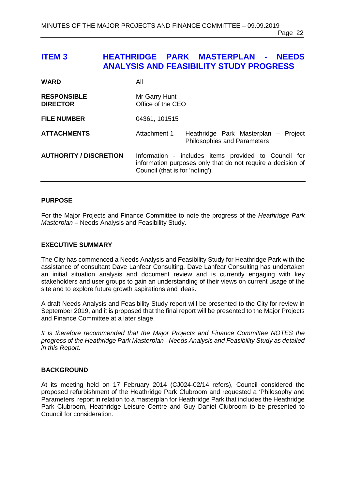### <span id="page-21-0"></span>**ITEM 3 HEATHRIDGE PARK MASTERPLAN - NEEDS ANALYSIS AND FEASIBILITY STUDY PROGRESS**

| <b>WARD</b>                           | All                                                                                                                                                    |  |
|---------------------------------------|--------------------------------------------------------------------------------------------------------------------------------------------------------|--|
| <b>RESPONSIBLE</b><br><b>DIRECTOR</b> | Mr Garry Hunt<br>Office of the CEO                                                                                                                     |  |
| <b>FILE NUMBER</b>                    | 04361, 101515                                                                                                                                          |  |
| <b>ATTACHMENTS</b>                    | Attachment 1<br>Heathridge Park Masterplan - Project<br><b>Philosophies and Parameters</b>                                                             |  |
| <b>AUTHORITY / DISCRETION</b>         | Information - includes items provided to Council for<br>information purposes only that do not require a decision of<br>Council (that is for 'noting'). |  |

#### **PURPOSE**

For the Major Projects and Finance Committee to note the progress of the *Heathridge Park Masterplan* – Needs Analysis and Feasibility Study.

#### **EXECUTIVE SUMMARY**

The City has commenced a Needs Analysis and Feasibility Study for Heathridge Park with the assistance of consultant Dave Lanfear Consulting. Dave Lanfear Consulting has undertaken an initial situation analysis and document review and is currently engaging with key stakeholders and user groups to gain an understanding of their views on current usage of the site and to explore future growth aspirations and ideas.

A draft Needs Analysis and Feasibility Study report will be presented to the City for review in September 2019, and it is proposed that the final report will be presented to the Major Projects and Finance Committee at a later stage.

*It is therefore recommended that the Major Projects and Finance Committee NOTES the progress of the Heathridge Park Masterplan - Needs Analysis and Feasibility Study as detailed in this Report.*

#### **BACKGROUND**

At its meeting held on 17 February 2014 (CJ024-02/14 refers), Council considered the proposed refurbishment of the Heathridge Park Clubroom and requested a 'Philosophy and Parameters' report in relation to a masterplan for Heathridge Park that includes the Heathridge Park Clubroom, Heathridge Leisure Centre and Guy Daniel Clubroom to be presented to Council for consideration.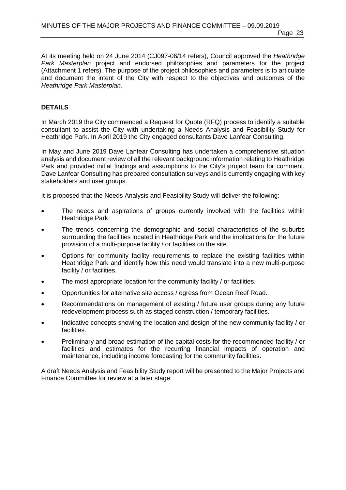At its meeting held on 24 June 2014 (CJ097-06/14 refers), Council approved the *Heathridge Park Masterplan* project and endorsed philosophies and parameters for the project (Attachment 1 refers). The purpose of the project philosophies and parameters is to articulate and document the intent of the City with respect to the objectives and outcomes of the *Heathridge Park Masterplan.* 

#### **DETAILS**

In March 2019 the City commenced a Request for Quote (RFQ) process to identify a suitable consultant to assist the City with undertaking a Needs Analysis and Feasibility Study for Heathridge Park. In April 2019 the City engaged consultants Dave Lanfear Consulting.

In May and June 2019 Dave Lanfear Consulting has undertaken a comprehensive situation analysis and document review of all the relevant background information relating to Heathridge Park and provided initial findings and assumptions to the City's project team for comment. Dave Lanfear Consulting has prepared consultation surveys and is currently engaging with key stakeholders and user groups.

It is proposed that the Needs Analysis and Feasibility Study will deliver the following:

- The needs and aspirations of groups currently involved with the facilities within Heathridge Park.
- The trends concerning the demographic and social characteristics of the suburbs surrounding the facilities located in Heathridge Park and the implications for the future provision of a multi-purpose facility / or facilities on the site.
- Options for community facility requirements to replace the existing facilities within Heathridge Park and identify how this need would translate into a new multi-purpose facility / or facilities.
- The most appropriate location for the community facility / or facilities.
- Opportunities for alternative site access / egress from Ocean Reef Road.
- Recommendations on management of existing / future user groups during any future redevelopment process such as staged construction / temporary facilities.
- Indicative concepts showing the location and design of the new community facility / or facilities.
- Preliminary and broad estimation of the capital costs for the recommended facility / or facilities and estimates for the recurring financial impacts of operation and maintenance, including income forecasting for the community facilities.

A draft Needs Analysis and Feasibility Study report will be presented to the Major Projects and Finance Committee for review at a later stage.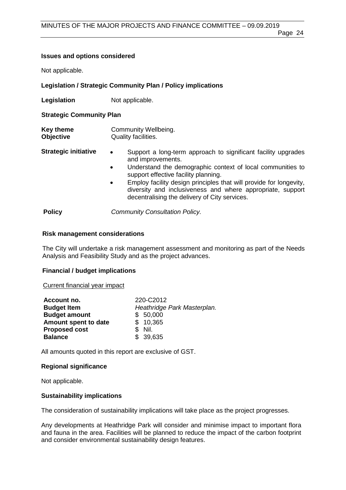#### **Issues and options considered**

Not applicable.

#### **Legislation / Strategic Community Plan / Policy implications**

**Legislation** Not applicable.

#### **Strategic Community Plan**

- **Key theme Community Wellbeing.**<br> **Objective Quality facilities. Quality facilities.**
- **Strategic initiative •** Support a long-term approach to significant facility upgrades and improvements.
	- Understand the demographic context of local communities to support effective facility planning.
	- Employ facility design principles that will provide for longevity, diversity and inclusiveness and where appropriate, support decentralising the delivery of City services.

**Policy** *Community Consultation Policy.*

#### **Risk management considerations**

The City will undertake a risk management assessment and monitoring as part of the Needs Analysis and Feasibility Study and as the project advances.

#### **Financial / budget implications**

#### Current financial year impact

| Account no.          | 220-C2012                   |
|----------------------|-----------------------------|
| <b>Budget Item</b>   | Heathridge Park Masterplan. |
| <b>Budget amount</b> | \$50,000                    |
| Amount spent to date | \$10,365                    |
| <b>Proposed cost</b> | $$$ Nil.                    |
| <b>Balance</b>       | \$39,635                    |

All amounts quoted in this report are exclusive of GST.

#### **Regional significance**

Not applicable.

#### **Sustainability implications**

The consideration of sustainability implications will take place as the project progresses.

Any developments at Heathridge Park will consider and minimise impact to important flora and fauna in the area. Facilities will be planned to reduce the impact of the carbon footprint and consider environmental sustainability design features.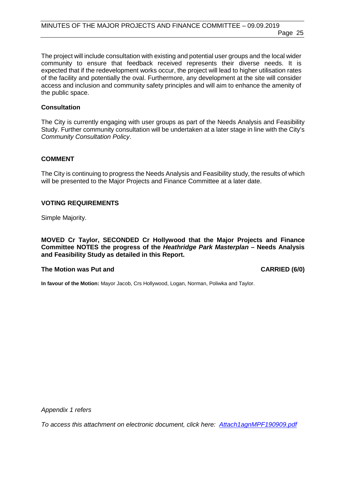Page 25

The project will include consultation with existing and potential user groups and the local wider community to ensure that feedback received represents their diverse needs. It is expected that if the redevelopment works occur, the project will lead to higher utilisation rates of the facility and potentially the oval. Furthermore, any development at the site will consider access and inclusion and community safety principles and will aim to enhance the amenity of the public space.

#### **Consultation**

The City is currently engaging with user groups as part of the Needs Analysis and Feasibility Study. Further community consultation will be undertaken at a later stage in line with the City's *Community Consultation Policy*.

#### **COMMENT**

The City is continuing to progress the Needs Analysis and Feasibility study, the results of which will be presented to the Major Projects and Finance Committee at a later date.

#### **VOTING REQUIREMENTS**

Simple Majority.

**MOVED Cr Taylor, SECONDED Cr Hollywood that the Major Projects and Finance Committee NOTES the progress of the** *Heathridge Park Masterplan* **– Needs Analysis and Feasibility Study as detailed in this Report.**

#### **The Motion was Put and CARRIED (6/0)**

**In favour of the Motion:** Mayor Jacob, Crs Hollywood, Logan, Norman, Poliwka and Taylor.

*Appendix 1 refers*

*To access this attachment on electronic document, click here: [Attach1agnMPF190909.pdf](http://www.joondalup.wa.gov.au/files/committees/MPFI/2019/Attach1agnMPF190909.pdf)*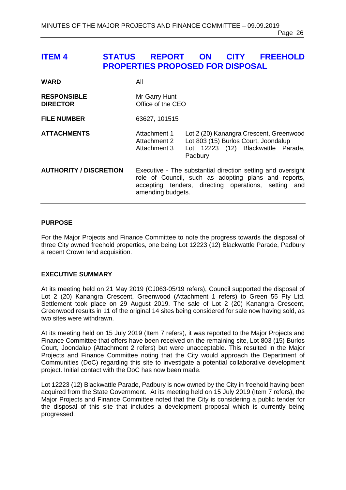### <span id="page-25-0"></span>**ITEM 4 STATUS REPORT ON CITY FREEHOLD PROPERTIES PROPOSED FOR DISPOSAL**

| <b>WARD</b>                           | All                                          |                                                                                                                                                                             |
|---------------------------------------|----------------------------------------------|-----------------------------------------------------------------------------------------------------------------------------------------------------------------------------|
| <b>RESPONSIBLE</b><br><b>DIRECTOR</b> | Mr Garry Hunt<br>Office of the CEO           |                                                                                                                                                                             |
| <b>FILE NUMBER</b>                    | 63627, 101515                                |                                                                                                                                                                             |
| <b>ATTACHMENTS</b>                    | Attachment 1<br>Attachment 2<br>Attachment 3 | Lot 2 (20) Kanangra Crescent, Greenwood<br>Lot 803 (15) Burlos Court, Joondalup<br>Lot 12223 (12) Blackwattle Parade,<br>Padbury                                            |
| <b>AUTHORITY / DISCRETION</b>         | amending budgets.                            | Executive - The substantial direction setting and oversight<br>role of Council, such as adopting plans and reports,<br>accepting tenders, directing operations, setting and |

#### **PURPOSE**

For the Major Projects and Finance Committee to note the progress towards the disposal of three City owned freehold properties, one being Lot 12223 (12) Blackwattle Parade, Padbury a recent Crown land acquisition.

#### **EXECUTIVE SUMMARY**

At its meeting held on 21 May 2019 (CJ063-05/19 refers), Council supported the disposal of Lot 2 (20) Kanangra Crescent, Greenwood (Attachment 1 refers) to Green 55 Pty Ltd. Settlement took place on 29 August 2019. The sale of Lot 2 (20) Kanangra Crescent, Greenwood results in 11 of the original 14 sites being considered for sale now having sold, as two sites were withdrawn.

At its meeting held on 15 July 2019 (Item 7 refers), it was reported to the Major Projects and Finance Committee that offers have been received on the remaining site, Lot 803 (15) Burlos Court, Joondalup (Attachment 2 refers) but were unacceptable. This resulted in the Major Projects and Finance Committee noting that the City would approach the Department of Communities (DoC) regarding this site to investigate a potential collaborative development project. Initial contact with the DoC has now been made.

Lot 12223 (12) Blackwattle Parade, Padbury is now owned by the City in freehold having been acquired from the State Government. At its meeting held on 15 July 2019 (Item 7 refers), the Major Projects and Finance Committee noted that the City is considering a public tender for the disposal of this site that includes a development proposal which is currently being progressed.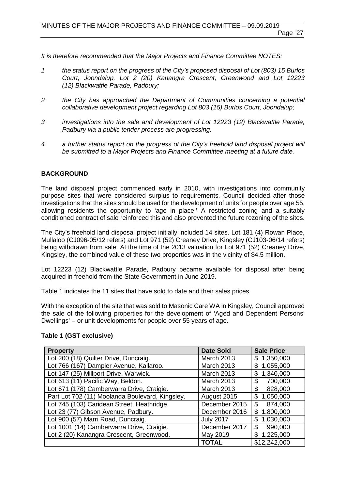Page 27

*It is therefore recommended that the Major Projects and Finance Committee NOTES:*

- *1 the status report on the progress of the City's proposed disposal of Lot (803) 15 Burlos Court, Joondalup, Lot 2 (20) Kanangra Crescent, Greenwood and Lot 12223 (12) Blackwattle Parade, Padbury;*
- *2 the City has approached the Department of Communities concerning a potential collaborative development project regarding Lot 803 (15) Burlos Court, Joondalup;*
- *3 investigations into the sale and development of Lot 12223 (12) Blackwattle Parade, Padbury via a public tender process are progressing;*
- *4 a further status report on the progress of the City's freehold land disposal project will be submitted to a Major Projects and Finance Committee meeting at a future date.*

#### **BACKGROUND**

The land disposal project commenced early in 2010, with investigations into community purpose sites that were considered surplus to requirements. Council decided after those investigations that the sites should be used for the development of units for people over age 55, allowing residents the opportunity to 'age in place.' A restricted zoning and a suitably conditioned contract of sale reinforced this and also prevented the future rezoning of the sites.

The City's freehold land disposal project initially included 14 sites. Lot 181 (4) Rowan Place, Mullaloo (CJ096-05/12 refers) and Lot 971 (52) Creaney Drive, Kingsley (CJ103-06/14 refers) being withdrawn from sale. At the time of the 2013 valuation for Lot 971 (52) Creaney Drive, Kingsley, the combined value of these two properties was in the vicinity of \$4.5 million.

Lot 12223 (12) Blackwattle Parade, Padbury became available for disposal after being acquired in freehold from the State Government in June 2019.

Table 1 indicates the 11 sites that have sold to date and their sales prices.

With the exception of the site that was sold to Masonic Care WA in Kingsley, Council approved the sale of the following properties for the development of 'Aged and Dependent Persons' Dwellings' – or unit developments for people over 55 years of age.

#### **Table 1 (GST exclusive)**

| <b>Property</b>                                 | <b>Date Sold</b>  | <b>Sale Price</b> |
|-------------------------------------------------|-------------------|-------------------|
| Lot 200 (18) Quilter Drive, Duncraig.           | March 2013        | \$1,350,000       |
| Lot 766 (167) Dampier Avenue, Kallaroo.         | <b>March 2013</b> | 1,055,000<br>\$   |
| Lot 147 (25) Millport Drive, Warwick.           | March 2013        | \$1,340,000       |
| Lot 613 (11) Pacific Way, Beldon.               | <b>March 2013</b> | 700,000<br>\$     |
| Lot 671 (178) Camberwarra Drive, Craigie.       | <b>March 2013</b> | \$<br>828,000     |
| Part Lot 702 (11) Moolanda Boulevard, Kingsley. | August 2015       | \$1,050,000       |
| Lot 745 (103) Caridean Street, Heathridge.      | December 2015     | 874,000<br>\$     |
| Lot 23 (77) Gibson Avenue, Padbury.             | December 2016     | 1,800,000<br>\$   |
| Lot 900 (57) Marri Road, Duncraig.              | <b>July 2017</b>  | \$1,030,000       |
| Lot 1001 (14) Camberwarra Drive, Craigie.       | December 2017     | 990,000<br>\$     |
| Lot 2 (20) Kanangra Crescent, Greenwood.        | May 2019          | \$1,225,000       |
|                                                 | <b>TOTAL</b>      | \$12,242,000      |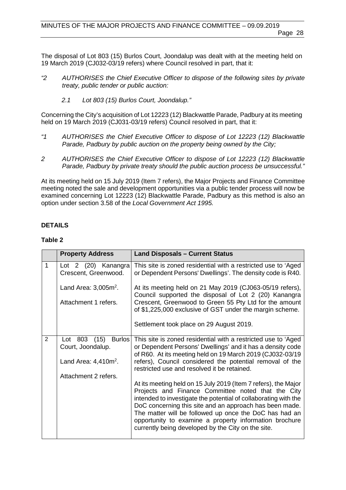The disposal of Lot 803 (15) Burlos Court, Joondalup was dealt with at the meeting held on 19 March 2019 (CJ032-03/19 refers) where Council resolved in part, that it:

- *"2 AUTHORISES the Chief Executive Officer to dispose of the following sites by private treaty, public tender or public auction:* 
	- *2.1 Lot 803 (15) Burlos Court, Joondalup."*

Concerning the City's acquisition of Lot 12223 (12) Blackwattle Parade, Padbury at its meeting held on 19 March 2019 (CJ031-03/19 refers) Council resolved in part, that it:

- *"1 AUTHORISES the Chief Executive Officer to dispose of Lot 12223 (12) Blackwattle Parade, Padbury by public auction on the property being owned by the City;*
- *2 AUTHORISES the Chief Executive Officer to dispose of Lot 12223 (12) Blackwattle Parade, Padbury by private treaty should the public auction process be unsuccessful."*

At its meeting held on 15 July 2019 (Item 7 refers), the Major Projects and Finance Committee meeting noted the sale and development opportunities via a public tender process will now be examined concerning Lot 12223 (12) Blackwattle Parade, Padbury as this method is also an option under section 3.58 of the *Local Government Act 1995.*

#### **DETAILS**

#### **Table 2**

|   | <b>Property Address</b>                     | <b>Land Disposals - Current Status</b>                                                                                                                                                                                                                                                                                                                                                                                       |
|---|---------------------------------------------|------------------------------------------------------------------------------------------------------------------------------------------------------------------------------------------------------------------------------------------------------------------------------------------------------------------------------------------------------------------------------------------------------------------------------|
| 1 | Lot 2 (20) Kanangra<br>Crescent, Greenwood. | This site is zoned residential with a restricted use to 'Aged<br>or Dependent Persons' Dwellings'. The density code is R40.                                                                                                                                                                                                                                                                                                  |
|   | Land Area: $3,005m^2$ .                     | At its meeting held on 21 May 2019 (CJ063-05/19 refers),<br>Council supported the disposal of Lot 2 (20) Kanangra                                                                                                                                                                                                                                                                                                            |
|   | Attachment 1 refers.                        | Crescent, Greenwood to Green 55 Pty Ltd for the amount<br>of \$1,225,000 exclusive of GST under the margin scheme.                                                                                                                                                                                                                                                                                                           |
|   |                                             | Settlement took place on 29 August 2019.                                                                                                                                                                                                                                                                                                                                                                                     |
| 2 | Burlos<br>Lot 803 (15)                      | This site is zoned residential with a restricted use to 'Aged                                                                                                                                                                                                                                                                                                                                                                |
|   | Court, Joondalup.                           | or Dependent Persons' Dwellings' and it has a density code<br>of R60. At its meeting held on 19 March 2019 (CJ032-03/19                                                                                                                                                                                                                                                                                                      |
|   | Land Area: $4,410m^2$ .                     | refers), Council considered the potential removal of the<br>restricted use and resolved it be retained.                                                                                                                                                                                                                                                                                                                      |
|   | Attachment 2 refers.                        |                                                                                                                                                                                                                                                                                                                                                                                                                              |
|   |                                             | At its meeting held on 15 July 2019 (Item 7 refers), the Major<br>Projects and Finance Committee noted that the City<br>intended to investigate the potential of collaborating with the<br>DoC concerning this site and an approach has been made.<br>The matter will be followed up once the DoC has had an<br>opportunity to examine a property information brochure<br>currently being developed by the City on the site. |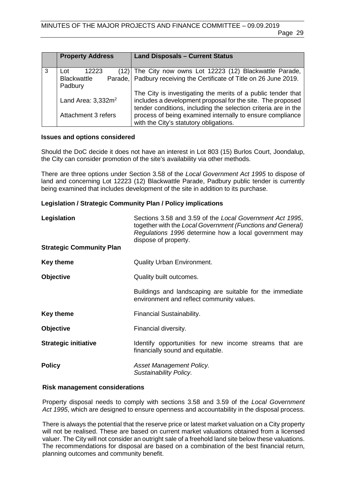|   | <b>Property Address</b>                        | <b>Land Disposals - Current Status</b>                                                                                                                                                                                                                    |
|---|------------------------------------------------|-----------------------------------------------------------------------------------------------------------------------------------------------------------------------------------------------------------------------------------------------------------|
| 3 | 12223<br>l of<br><b>Blackwattle</b><br>Padbury | (12) The City now owns Lot 12223 (12) Blackwattle Parade,<br>Parade,   Padbury receiving the Certificate of Title on 26 June 2019.                                                                                                                        |
|   | Land Area: $3,332m^2$<br>Attachment 3 refers   | The City is investigating the merits of a public tender that<br>includes a development proposal for the site. The proposed<br>tender conditions, including the selection criteria are in the<br>process of being examined internally to ensure compliance |
|   |                                                | with the City's statutory obligations.                                                                                                                                                                                                                    |

#### **Issues and options considered**

Should the DoC decide it does not have an interest in Lot 803 (15) Burlos Court, Joondalup, the City can consider promotion of the site's availability via other methods.

There are three options under Section 3.58 of the *Local Government Act 1995* to dispose of land and concerning Lot 12223 (12) Blackwattle Parade, Padbury public tender is currently being examined that includes development of the site in addition to its purchase.

#### **Legislation / Strategic Community Plan / Policy implications**

| Legislation                     | Sections 3.58 and 3.59 of the Local Government Act 1995,<br>together with the Local Government (Functions and General)<br>Regulations 1996 determine how a local government may<br>dispose of property. |
|---------------------------------|---------------------------------------------------------------------------------------------------------------------------------------------------------------------------------------------------------|
| <b>Strategic Community Plan</b> |                                                                                                                                                                                                         |
| <b>Key theme</b>                | <b>Quality Urban Environment.</b>                                                                                                                                                                       |
| <b>Objective</b>                | Quality built outcomes.                                                                                                                                                                                 |
|                                 | Buildings and landscaping are suitable for the immediate<br>environment and reflect community values.                                                                                                   |
| Key theme                       | Financial Sustainability.                                                                                                                                                                               |
| <b>Objective</b>                | Financial diversity.                                                                                                                                                                                    |
| <b>Strategic initiative</b>     | Identify opportunities for new income streams that are<br>financially sound and equitable.                                                                                                              |
| <b>Policy</b>                   | Asset Management Policy.<br>Sustainability Policy.                                                                                                                                                      |

#### **Risk management considerations**

Property disposal needs to comply with sections 3.58 and 3.59 of the *Local Government Act 1995*, which are designed to ensure openness and accountability in the disposal process.

There is always the potential that the reserve price or latest market valuation on a City property will not be realised. These are based on current market valuations obtained from a licensed valuer. The City will not consider an outright sale of a freehold land site below these valuations. The recommendations for disposal are based on a combination of the best financial return, planning outcomes and community benefit.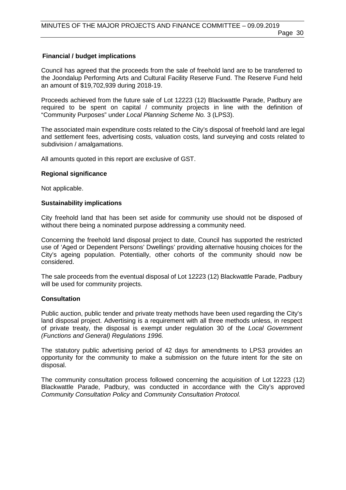Council has agreed that the proceeds from the sale of freehold land are to be transferred to the Joondalup Performing Arts and Cultural Facility Reserve Fund. The Reserve Fund held an amount of \$19,702,939 during 2018-19.

Proceeds achieved from the future sale of Lot 12223 (12) Blackwattle Parade, Padbury are required to be spent on capital / community projects in line with the definition of "Community Purposes" under *Local Planning Scheme No.* 3 (LPS3).

The associated main expenditure costs related to the City's disposal of freehold land are legal and settlement fees, advertising costs, valuation costs, land surveying and costs related to subdivision / amalgamations.

All amounts quoted in this report are exclusive of GST.

#### **Regional significance**

Not applicable.

#### **Sustainability implications**

City freehold land that has been set aside for community use should not be disposed of without there being a nominated purpose addressing a community need.

Concerning the freehold land disposal project to date, Council has supported the restricted use of 'Aged or Dependent Persons' Dwellings' providing alternative housing choices for the City's ageing population. Potentially, other cohorts of the community should now be considered.

The sale proceeds from the eventual disposal of Lot 12223 (12) Blackwattle Parade, Padbury will be used for community projects.

#### **Consultation**

Public auction, public tender and private treaty methods have been used regarding the City's land disposal project. Advertising is a requirement with all three methods unless, in respect of private treaty, the disposal is exempt under regulation 30 of the *Local Government (Functions and General) Regulations 1996.*

The statutory public advertising period of 42 days for amendments to LPS3 provides an opportunity for the community to make a submission on the future intent for the site on disposal.

The community consultation process followed concerning the acquisition of Lot 12223 (12) Blackwattle Parade, Padbury, was conducted in accordance with the City's approved *Community Consultation Policy* and *Community Consultation Protocol.*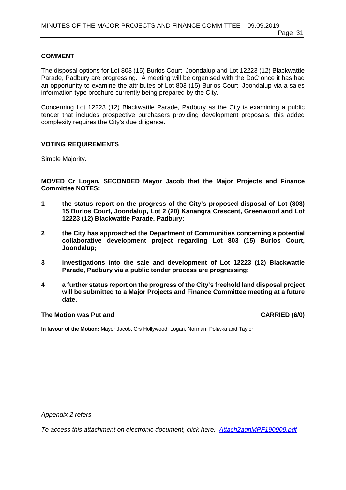#### **COMMENT**

The disposal options for Lot 803 (15) Burlos Court, Joondalup and Lot 12223 (12) Blackwattle Parade, Padbury are progressing. A meeting will be organised with the DoC once it has had an opportunity to examine the attributes of Lot 803 (15) Burlos Court, Joondalup via a sales information type brochure currently being prepared by the City.

Concerning Lot 12223 (12) Blackwattle Parade, Padbury as the City is examining a public tender that includes prospective purchasers providing development proposals, this added complexity requires the City's due diligence.

#### **VOTING REQUIREMENTS**

Simple Majority.

**MOVED Cr Logan, SECONDED Mayor Jacob that the Major Projects and Finance Committee NOTES:**

- **1 the status report on the progress of the City's proposed disposal of Lot (803) 15 Burlos Court, Joondalup, Lot 2 (20) Kanangra Crescent, Greenwood and Lot 12223 (12) Blackwattle Parade, Padbury;**
- **2 the City has approached the Department of Communities concerning a potential collaborative development project regarding Lot 803 (15) Burlos Court, Joondalup;**
- **3 investigations into the sale and development of Lot 12223 (12) Blackwattle Parade, Padbury via a public tender process are progressing;**
- **4 a further status report on the progress of the City's freehold land disposal project will be submitted to a Major Projects and Finance Committee meeting at a future date.**

#### **The Motion was Put and CARRIED (6/0)**

**In favour of the Motion:** Mayor Jacob, Crs Hollywood, Logan, Norman, Poliwka and Taylor.

*Appendix 2 refers*

*To access this attachment on electronic document, click here: [Attach2agnMPF190909.pdf](http://www.joondalup.wa.gov.au/files/committees/MPFI/2019/Attach2agnMPF190909.pdf)*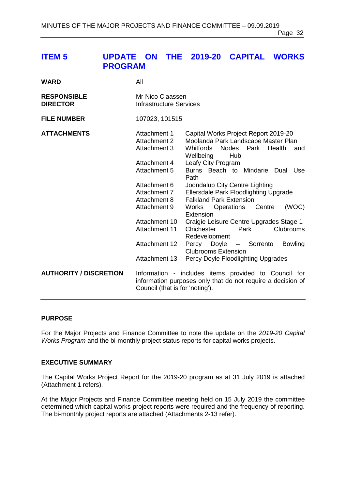## <span id="page-31-0"></span>**ITEM 5 UPDATE ON THE 2019-20 CAPITAL WORKS PROGRAM**

| <b>WARD</b>                           | All                                                                                                                                                                                                              |                                                                                                                                                                                                                                                                                                                                                                                                                                                                                                                                                                                                         |
|---------------------------------------|------------------------------------------------------------------------------------------------------------------------------------------------------------------------------------------------------------------|---------------------------------------------------------------------------------------------------------------------------------------------------------------------------------------------------------------------------------------------------------------------------------------------------------------------------------------------------------------------------------------------------------------------------------------------------------------------------------------------------------------------------------------------------------------------------------------------------------|
| <b>RESPONSIBLE</b><br><b>DIRECTOR</b> | Mr Nico Claassen<br><b>Infrastructure Services</b>                                                                                                                                                               |                                                                                                                                                                                                                                                                                                                                                                                                                                                                                                                                                                                                         |
| <b>FILE NUMBER</b>                    | 107023, 101515                                                                                                                                                                                                   |                                                                                                                                                                                                                                                                                                                                                                                                                                                                                                                                                                                                         |
| <b>ATTACHMENTS</b>                    | Attachment 1<br>Attachment 2<br>Attachment 3<br>Attachment 4<br>Attachment 5<br>Attachment 6<br>Attachment 7<br>Attachment 8<br>Attachment 9<br>Attachment 10<br>Attachment 11<br>Attachment 12<br>Attachment 13 | Capital Works Project Report 2019-20<br>Moolanda Park Landscape Master Plan<br>Nodes<br>Park Health<br><b>Whitfords</b><br>and<br>Wellbeing<br>Hub<br>Leafy City Program<br>Burns Beach to Mindarie Dual Use<br>Path<br>Joondalup City Centre Lighting<br>Ellersdale Park Floodlighting Upgrade<br><b>Falkland Park Extension</b><br>(WOC)<br>Operations<br>Centre<br>Works<br>Extension<br>Craigie Leisure Centre Upgrades Stage 1<br>Park<br>Chichester<br>Clubrooms<br>Redevelopment<br>Percy Doyle - Sorrento<br><b>Bowling</b><br><b>Clubrooms Extension</b><br>Percy Doyle Floodlighting Upgrades |
| <b>AUTHORITY / DISCRETION</b>         | Council (that is for 'noting').                                                                                                                                                                                  | Information - includes items provided to Council for<br>information purposes only that do not require a decision of                                                                                                                                                                                                                                                                                                                                                                                                                                                                                     |

#### **PURPOSE**

For the Major Projects and Finance Committee to note the update on the *2019-20 Capital Works Program* and the bi-monthly project status reports for capital works projects.

#### **EXECUTIVE SUMMARY**

The Capital Works Project Report for the 2019-20 program as at 31 July 2019 is attached (Attachment 1 refers).

At the Major Projects and Finance Committee meeting held on 15 July 2019 the committee determined which capital works project reports were required and the frequency of reporting. The bi-monthly project reports are attached (Attachments 2-13 refer).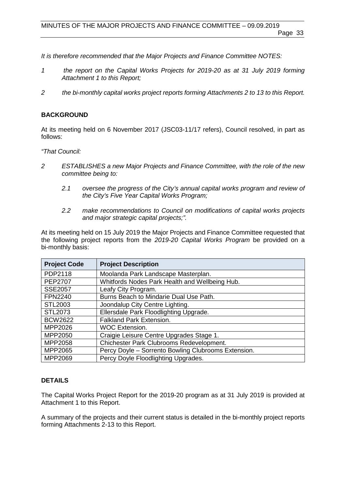*It is therefore recommended that the Major Projects and Finance Committee NOTES:*

- *1 the report on the Capital Works Projects for 2019-20 as at 31 July 2019 forming Attachment 1 to this Report;*
- *2 the bi-monthly capital works project reports forming Attachments 2 to 13 to this Report.*

### **BACKGROUND**

At its meeting held on 6 November 2017 (JSC03-11/17 refers), Council resolved, in part as follows:

*"That Council:*

- *2 ESTABLISHES a new Major Projects and Finance Committee, with the role of the new committee being to:*
	- *2.1 oversee the progress of the City's annual capital works program and review of the City's Five Year Capital Works Program;*
	- *2.2 make recommendations to Council on modifications of capital works projects and major strategic capital projects;".*

At its meeting held on 15 July 2019 the Major Projects and Finance Committee requested that the following project reports from the *2019-20 Capital Works Program* be provided on a bi-monthly basis:

| <b>Project Code</b> | <b>Project Description</b>                          |
|---------------------|-----------------------------------------------------|
| PDP2118             | Moolanda Park Landscape Masterplan.                 |
| <b>PEP2707</b>      | Whitfords Nodes Park Health and Wellbeing Hub.      |
| <b>SSE2057</b>      | Leafy City Program.                                 |
| <b>FPN2240</b>      | Burns Beach to Mindarie Dual Use Path.              |
| STL2003             | Joondalup City Centre Lighting.                     |
| STL2073             | Ellersdale Park Floodlighting Upgrade.              |
| <b>BCW2622</b>      | <b>Falkland Park Extension.</b>                     |
| MPP2026             | <b>WOC Extension.</b>                               |
| MPP2050             | Craigie Leisure Centre Upgrades Stage 1.            |
| MPP2058             | Chichester Park Clubrooms Redevelopment.            |
| MPP2065             | Percy Doyle - Sorrento Bowling Clubrooms Extension. |
| MPP2069             | Percy Doyle Floodlighting Upgrades.                 |

### **DETAILS**

The Capital Works Project Report for the 2019-20 program as at 31 July 2019 is provided at Attachment 1 to this Report.

A summary of the projects and their current status is detailed in the bi-monthly project reports forming Attachments 2-13 to this Report.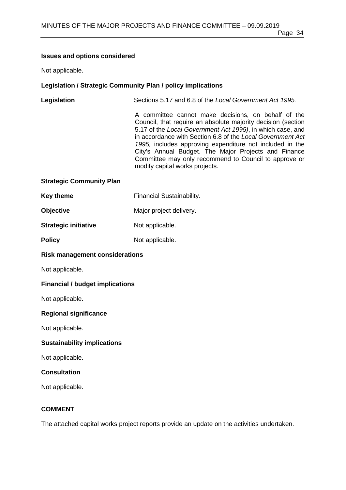#### **Issues and options considered**

Not applicable.

#### **Legislation / Strategic Community Plan / policy implications**

| Legislation | Sections 5.17 and 6.8 of the Local Government Act 1995. |
|-------------|---------------------------------------------------------|
|             |                                                         |

A committee cannot make decisions, on behalf of the Council, that require an absolute majority decision (section 5.17 of the *Local Government Act 1995)*, in which case, and in accordance with Section 6.8 of the *Local Government Act 1995,* includes approving expenditure not included in the City's Annual Budget. The Major Projects and Finance Committee may only recommend to Council to approve or modify capital works projects.

#### **Strategic Community Plan**

| Key theme | <b>Financial Sustainability.</b> |
|-----------|----------------------------------|
|-----------|----------------------------------|

| <b>Objective</b> |  |  | Major project delivery. |
|------------------|--|--|-------------------------|
|------------------|--|--|-------------------------|

| <b>Strategic initiative</b> | Not applicable. |
|-----------------------------|-----------------|
|                             |                 |

| <b>Policy</b> | Not applicable. |
|---------------|-----------------|
|               |                 |

#### **Risk management considerations**

Not applicable.

#### **Financial / budget implications**

Not applicable.

#### **Regional significance**

Not applicable.

#### **Sustainability implications**

Not applicable.

#### **Consultation**

Not applicable.

#### **COMMENT**

The attached capital works project reports provide an update on the activities undertaken.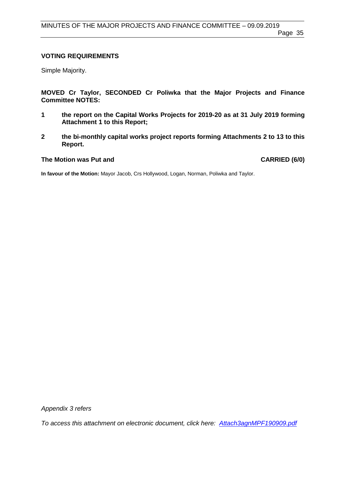#### **VOTING REQUIREMENTS**

Simple Majority.

**MOVED Cr Taylor, SECONDED Cr Poliwka that the Major Projects and Finance Committee NOTES:**

- **1 the report on the Capital Works Projects for 2019-20 as at 31 July 2019 forming Attachment 1 to this Report;**
- **2 the bi-monthly capital works project reports forming Attachments 2 to 13 to this Report.**

#### **The Motion was Put and CARRIED (6/0)**

**In favour of the Motion:** Mayor Jacob, Crs Hollywood, Logan, Norman, Poliwka and Taylor.

*Appendix 3 refers*

*To access this attachment on electronic document, click here: [Attach3agnMPF190909.pdf](http://www.joondalup.wa.gov.au/files/committees/MPFI/2019/Attach3agnMPF190909.pdf)*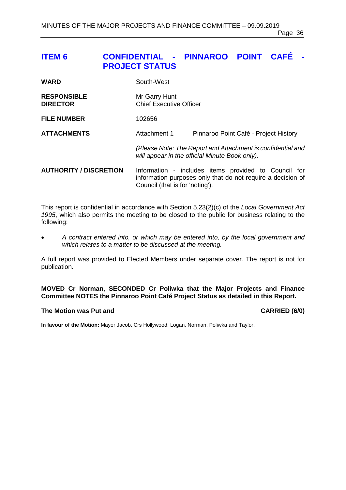### <span id="page-35-0"></span>**ITEM 6 CONFIDENTIAL - PINNAROO POINT CAFÉ - PROJECT STATUS**

| <b>WARD</b>                           | South-West                                      |                                                                                                                     |
|---------------------------------------|-------------------------------------------------|---------------------------------------------------------------------------------------------------------------------|
| <b>RESPONSIBLE</b><br><b>DIRECTOR</b> | Mr Garry Hunt<br><b>Chief Executive Officer</b> |                                                                                                                     |
| <b>FILE NUMBER</b>                    | 102656                                          |                                                                                                                     |
| <b>ATTACHMENTS</b>                    | Attachment 1                                    | Pinnaroo Point Café - Project History                                                                               |
|                                       |                                                 | (Please Note: The Report and Attachment is confidential and<br>will appear in the official Minute Book only).       |
| <b>AUTHORITY / DISCRETION</b>         | Council (that is for 'noting').                 | Information - includes items provided to Council for<br>information purposes only that do not require a decision of |

This report is confidential in accordance with Section 5.23(2)(c) of the *Local Government Act 1995*, which also permits the meeting to be closed to the public for business relating to the following:

• *A contract entered into, or which may be entered into, by the local government and which relates to a matter to be discussed at the meeting.*

A full report was provided to Elected Members under separate cover. The report is not for publication.

#### **MOVED Cr Norman, SECONDED Cr Poliwka that the Major Projects and Finance Committee NOTES the Pinnaroo Point Café Project Status as detailed in this Report.**

#### **The Motion was Put and CARRIED (6/0)**

**In favour of the Motion:** Mayor Jacob, Crs Hollywood, Logan, Norman, Poliwka and Taylor.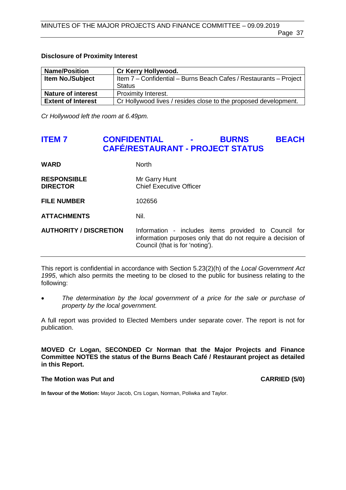#### **Disclosure of Proximity Interest**

| <b>Name/Position</b>      | <b>Cr Kerry Hollywood.</b>                                        |
|---------------------------|-------------------------------------------------------------------|
| <b>Item No./Subject</b>   | Item 7 - Confidential - Burns Beach Cafes / Restaurants - Project |
|                           | <b>Status</b>                                                     |
| <b>Nature of interest</b> | Proximity Interest.                                               |
| <b>Extent of Interest</b> | Cr Hollywood lives / resides close to the proposed development.   |

*Cr Hollywood left the room at 6.49pm.*

### <span id="page-36-0"></span>**ITEM 7 CONFIDENTIAL - BURNS BEACH CAFÉ/RESTAURANT - PROJECT STATUS**

| <b>WARD</b>                           | <b>North</b>                                                                                                                                           |
|---------------------------------------|--------------------------------------------------------------------------------------------------------------------------------------------------------|
| <b>RESPONSIBLE</b><br><b>DIRECTOR</b> | Mr Garry Hunt<br><b>Chief Executive Officer</b>                                                                                                        |
| <b>FILE NUMBER</b>                    | 102656                                                                                                                                                 |
| <b>ATTACHMENTS</b>                    | Nil.                                                                                                                                                   |
| <b>AUTHORITY / DISCRETION</b>         | Information - includes items provided to Council for<br>information purposes only that do not require a decision of<br>Council (that is for 'noting'). |

This report is confidential in accordance with Section 5.23(2)(h) of the *Local Government Act 1995*, which also permits the meeting to be closed to the public for business relating to the following:

• *The determination by the local government of a price for the sale or purchase of property by the local government.*

A full report was provided to Elected Members under separate cover. The report is not for publication.

**MOVED Cr Logan, SECONDED Cr Norman that the Major Projects and Finance Committee NOTES the status of the Burns Beach Café / Restaurant project as detailed in this Report.**

#### **The Motion was Put and CARRIED (5/0)**

**In favour of the Motion:** Mayor Jacob, Crs Logan, Norman, Poliwka and Taylor.